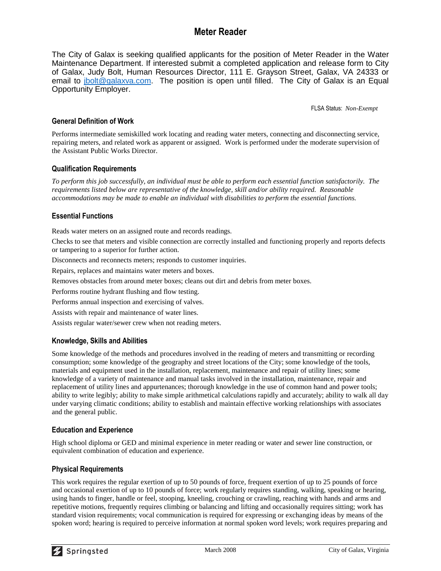# **Meter Reader**

The City of Galax is seeking qualified applicants for the position of Meter Reader in the Water Maintenance Department. If interested submit a completed application and release form to City of Galax, Judy Bolt, Human Resources Director, 111 E. Grayson Street, Galax, VA 24333 or email to [jbolt@galaxva.com.](mailto:jbolt@galaxva.com) The position is open until filled. The City of Galax is an Equal Opportunity Employer.

FLSA Status: *Non-Exempt*

# **General Definition of Work**

Performs intermediate semiskilled work locating and reading water meters, connecting and disconnecting service, repairing meters, and related work as apparent or assigned. Work is performed under the moderate supervision of the Assistant Public Works Director.

# **Qualification Requirements**

*To perform this job successfully, an individual must be able to perform each essential function satisfactorily. The requirements listed below are representative of the knowledge, skill and/or ability required. Reasonable accommodations may be made to enable an individual with disabilities to perform the essential functions.*

# **Essential Functions**

Reads water meters on an assigned route and records readings.

Checks to see that meters and visible connection are correctly installed and functioning properly and reports defects or tampering to a superior for further action.

Disconnects and reconnects meters; responds to customer inquiries.

Repairs, replaces and maintains water meters and boxes.

Removes obstacles from around meter boxes; cleans out dirt and debris from meter boxes.

Performs routine hydrant flushing and flow testing.

Performs annual inspection and exercising of valves.

Assists with repair and maintenance of water lines.

Assists regular water/sewer crew when not reading meters.

#### **Knowledge, Skills and Abilities**

Some knowledge of the methods and procedures involved in the reading of meters and transmitting or recording consumption; some knowledge of the geography and street locations of the City; some knowledge of the tools, materials and equipment used in the installation, replacement, maintenance and repair of utility lines; some knowledge of a variety of maintenance and manual tasks involved in the installation, maintenance, repair and replacement of utility lines and appurtenances; thorough knowledge in the use of common hand and power tools; ability to write legibly; ability to make simple arithmetical calculations rapidly and accurately; ability to walk all day under varying climatic conditions; ability to establish and maintain effective working relationships with associates and the general public.

#### **Education and Experience**

High school diploma or GED and minimal experience in meter reading or water and sewer line construction, or equivalent combination of education and experience.

#### **Physical Requirements**

This work requires the regular exertion of up to 50 pounds of force, frequent exertion of up to 25 pounds of force and occasional exertion of up to 10 pounds of force; work regularly requires standing, walking, speaking or hearing, using hands to finger, handle or feel, stooping, kneeling, crouching or crawling, reaching with hands and arms and repetitive motions, frequently requires climbing or balancing and lifting and occasionally requires sitting; work has standard vision requirements; vocal communication is required for expressing or exchanging ideas by means of the spoken word; hearing is required to perceive information at normal spoken word levels; work requires preparing and